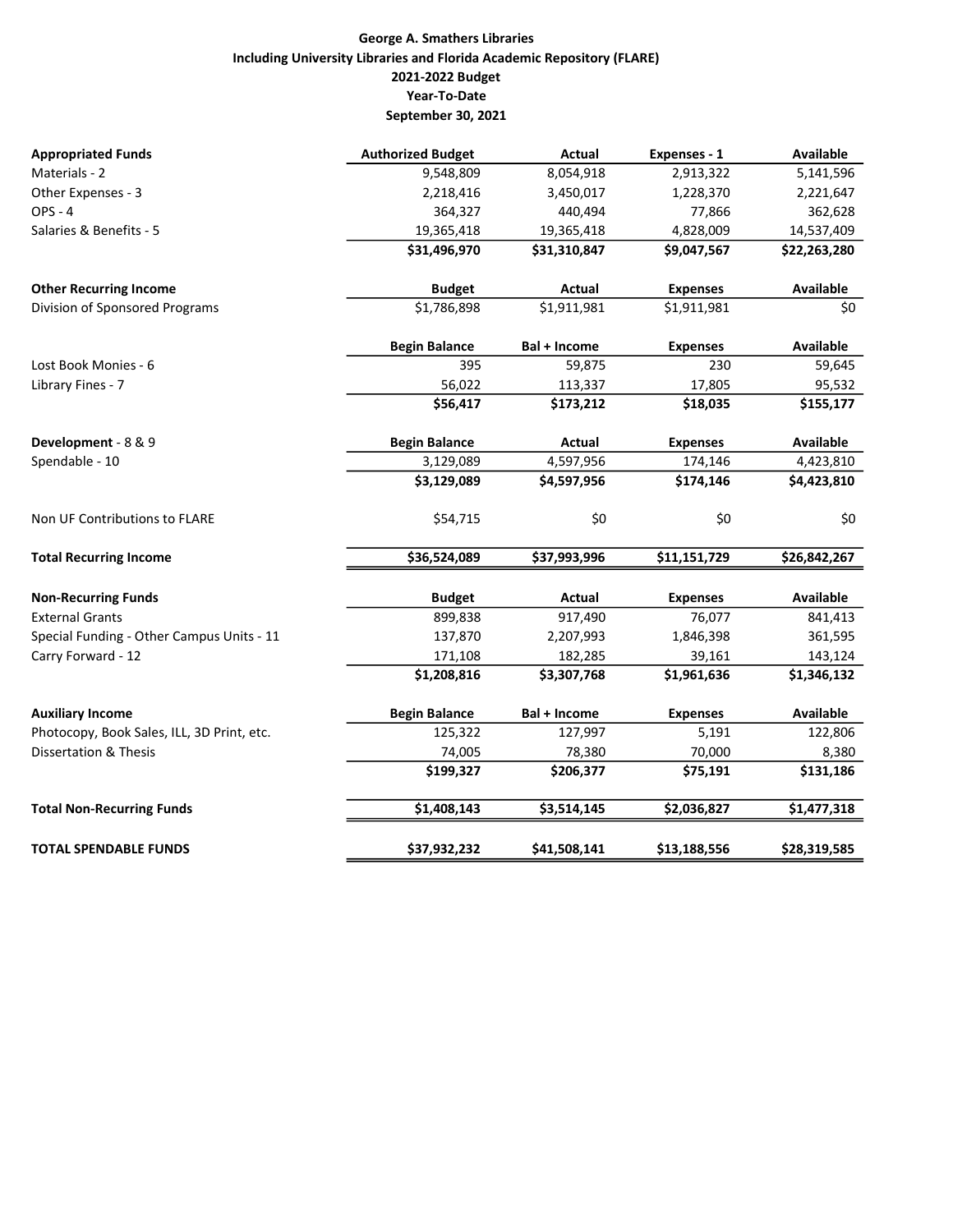## George A. Smathers Libraries Including University Libraries and Florida Academic Repository (FLARE) 2021-2022 Budget Year-To-Date September 30, 2021

| <b>Appropriated Funds</b>                  | <b>Authorized Budget</b> | <b>Actual</b> | Expenses - 1    | <b>Available</b> |
|--------------------------------------------|--------------------------|---------------|-----------------|------------------|
| Materials - 2                              | 9,548,809                | 8,054,918     | 2,913,322       | 5,141,596        |
| Other Expenses - 3                         | 2,218,416                | 3,450,017     | 1,228,370       | 2,221,647        |
| <b>OPS - 4</b>                             | 364,327                  | 440,494       | 77,866          | 362,628          |
| Salaries & Benefits - 5                    | 19,365,418               | 19,365,418    | 4,828,009       | 14,537,409       |
|                                            | \$31,496,970             | \$31,310,847  | \$9,047,567     | \$22,263,280     |
| <b>Other Recurring Income</b>              | <b>Budget</b>            | Actual        | <b>Expenses</b> | Available        |
| Division of Sponsored Programs             | \$1,786,898              | \$1,911,981   | \$1,911,981     | \$0              |
|                                            | <b>Begin Balance</b>     | Bal + Income  | <b>Expenses</b> | Available        |
| Lost Book Monies - 6                       | 395                      | 59,875        | 230             | 59,645           |
| Library Fines - 7                          | 56,022                   | 113,337       | 17,805          | 95,532           |
|                                            | \$56,417                 | \$173,212     | \$18,035        | \$155,177        |
| Development - 8 & 9                        | <b>Begin Balance</b>     | Actual        | <b>Expenses</b> | Available        |
| Spendable - 10                             | 3,129,089                | 4,597,956     | 174,146         | 4,423,810        |
|                                            | \$3,129,089              | \$4,597,956   | \$174,146       | \$4,423,810      |
| Non UF Contributions to FLARE              | \$54,715                 | \$0           | \$0             | \$0              |
| <b>Total Recurring Income</b>              | \$36,524,089             | \$37,993,996  | \$11,151,729    | \$26,842,267     |
| <b>Non-Recurring Funds</b>                 | <b>Budget</b>            | <b>Actual</b> | <b>Expenses</b> | <b>Available</b> |
| <b>External Grants</b>                     | 899,838                  | 917,490       | 76,077          | 841,413          |
| Special Funding - Other Campus Units - 11  | 137,870                  | 2,207,993     | 1,846,398       | 361,595          |
| Carry Forward - 12                         | 171,108                  | 182,285       | 39,161          | 143,124          |
|                                            | \$1,208,816              | \$3,307,768   | \$1,961,636     | \$1,346,132      |
| <b>Auxiliary Income</b>                    | <b>Begin Balance</b>     | Bal + Income  | <b>Expenses</b> | Available        |
| Photocopy, Book Sales, ILL, 3D Print, etc. | 125,322                  | 127,997       | 5,191           | 122,806          |
| <b>Dissertation &amp; Thesis</b>           | 74,005                   | 78,380        | 70,000          | 8,380            |
|                                            | \$199,327                | \$206,377     | \$75,191        | \$131,186        |
| <b>Total Non-Recurring Funds</b>           | \$1,408,143              | \$3,514,145   | \$2,036,827     | \$1,477,318      |
| <b>TOTAL SPENDABLE FUNDS</b>               | \$37,932,232             | \$41,508,141  | \$13,188,556    | \$28,319,585     |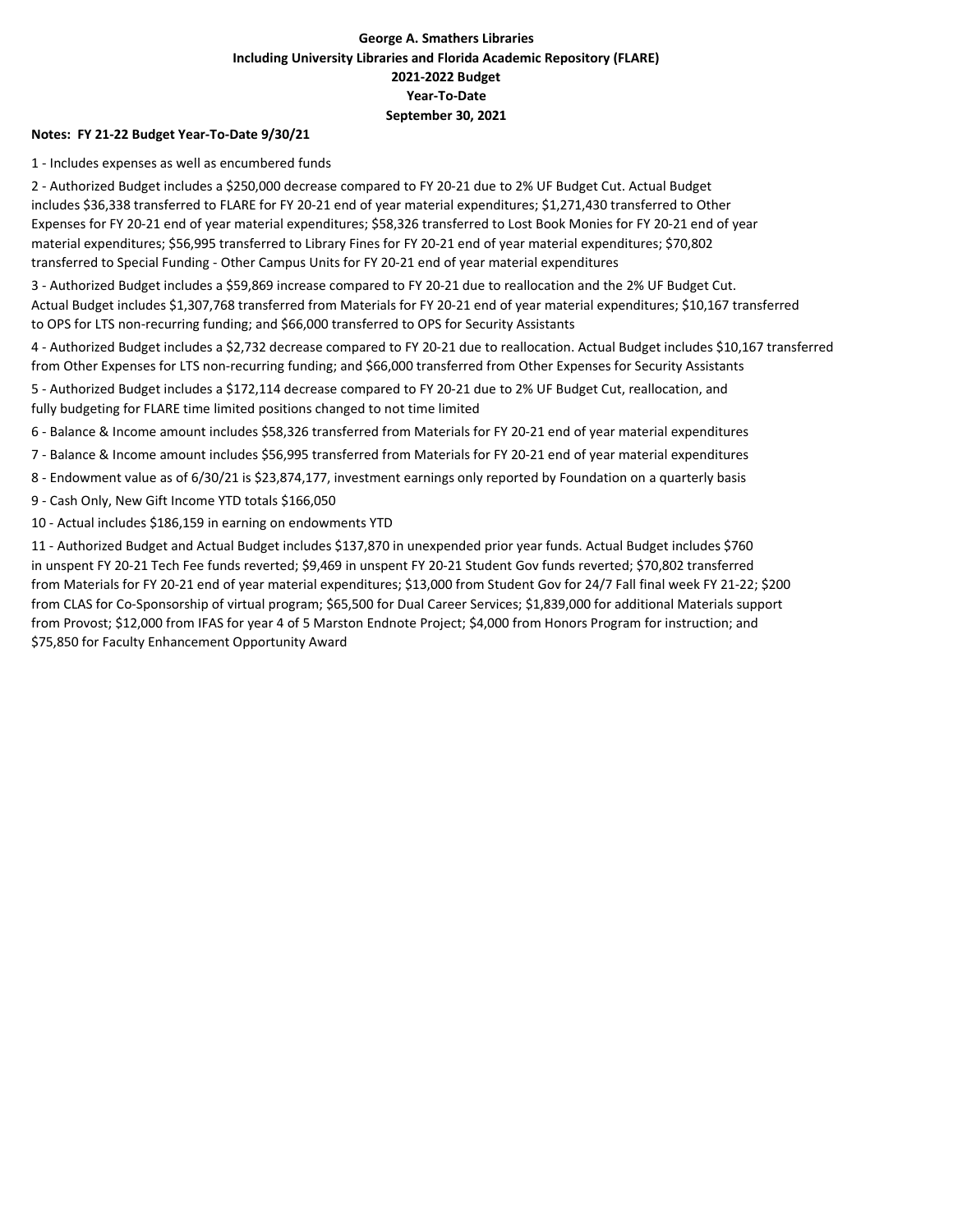## George A. Smathers Libraries Including University Libraries and Florida Academic Repository (FLARE) 2021-2022 Budget Year-To-Date September 30, 2021

#### Notes: FY 21-22 Budget Year-To-Date 9/30/21

1 - Includes expenses as well as encumbered funds

2 - Authorized Budget includes a \$250,000 decrease compared to FY 20-21 due to 2% UF Budget Cut. Actual Budget includes \$36,338 transferred to FLARE for FY 20-21 end of year material expenditures; \$1,271,430 transferred to Other Expenses for FY 20-21 end of year material expenditures; \$58,326 transferred to Lost Book Monies for FY 20-21 end of year material expenditures; \$56,995 transferred to Library Fines for FY 20-21 end of year material expenditures; \$70,802 transferred to Special Funding - Other Campus Units for FY 20-21 end of year material expenditures

3 - Authorized Budget includes a \$59,869 increase compared to FY 20-21 due to reallocation and the 2% UF Budget Cut. Actual Budget includes \$1,307,768 transferred from Materials for FY 20-21 end of year material expenditures; \$10,167 transferred to OPS for LTS non-recurring funding; and \$66,000 transferred to OPS for Security Assistants

4 - Authorized Budget includes a \$2,732 decrease compared to FY 20-21 due to reallocation. Actual Budget includes \$10,167 transferred from Other Expenses for LTS non-recurring funding; and \$66,000 transferred from Other Expenses for Security Assistants

5 - Authorized Budget includes a \$172,114 decrease compared to FY 20-21 due to 2% UF Budget Cut, reallocation, and fully budgeting for FLARE time limited positions changed to not time limited

6 - Balance & Income amount includes \$58,326 transferred from Materials for FY 20-21 end of year material expenditures

7 - Balance & Income amount includes \$56,995 transferred from Materials for FY 20-21 end of year material expenditures

8 - Endowment value as of 6/30/21 is \$23,874,177, investment earnings only reported by Foundation on a quarterly basis

9 - Cash Only, New Gift Income YTD totals \$166,050

10 - Actual includes \$186,159 in earning on endowments YTD

11 - Authorized Budget and Actual Budget includes \$137,870 in unexpended prior year funds. Actual Budget includes \$760 in unspent FY 20-21 Tech Fee funds reverted; \$9,469 in unspent FY 20-21 Student Gov funds reverted; \$70,802 transferred from Materials for FY 20-21 end of year material expenditures; \$13,000 from Student Gov for 24/7 Fall final week FY 21-22; \$200 from CLAS for Co-Sponsorship of virtual program; \$65,500 for Dual Career Services; \$1,839,000 for additional Materials support from Provost; \$12,000 from IFAS for year 4 of 5 Marston Endnote Project; \$4,000 from Honors Program for instruction; and \$75,850 for Faculty Enhancement Opportunity Award